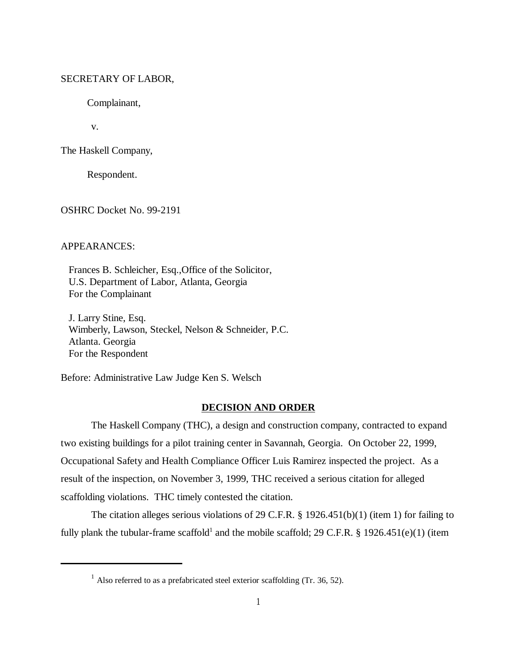### SECRETARY OF LABOR,

Complainant,

v.

The Haskell Company,

Respondent.

OSHRC Docket No. 99-2191

# APPEARANCES:

 Frances B. Schleicher, Esq.,Office of the Solicitor, U.S. Department of Labor, Atlanta, Georgia For the Complainant

 J. Larry Stine, Esq. Wimberly, Lawson, Steckel, Nelson & Schneider, P.C. Atlanta. Georgia For the Respondent

Before: Administrative Law Judge Ken S. Welsch

#### **DECISION AND ORDER**

The Haskell Company (THC), a design and construction company, contracted to expand two existing buildings for a pilot training center in Savannah, Georgia. On October 22, 1999, Occupational Safety and Health Compliance Officer Luis Ramirez inspected the project. As a result of the inspection, on November 3, 1999, THC received a serious citation for alleged scaffolding violations. THC timely contested the citation.

The citation alleges serious violations of 29 C.F.R. § 1926.451(b)(1) (item 1) for failing to fully plank the tubular-frame scaffold<sup>1</sup> and the mobile scaffold; 29 C.F.R. § 1926.451(e)(1) (item

 $1$  Also referred to as a prefabricated steel exterior scaffolding (Tr. 36, 52).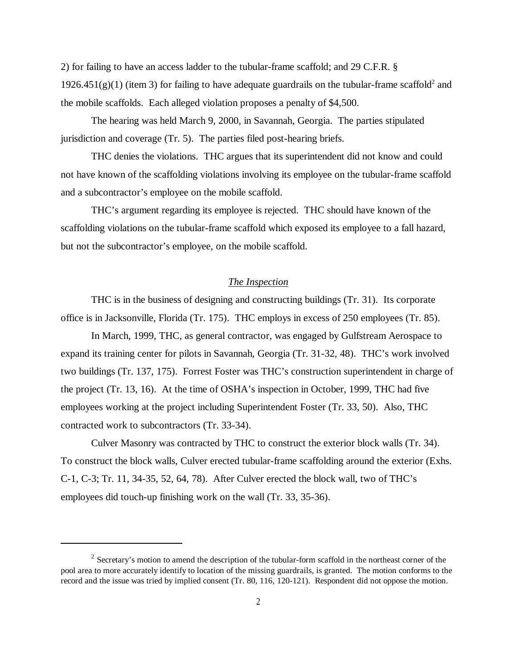2) for failing to have an access ladder to the tubular-frame scaffold; and 29 C.F.R. §  $1926.451(g)(1)$  (item 3) for failing to have adequate guardrails on the tubular-frame scaffold<sup>2</sup> and the mobile scaffolds. Each alleged violation proposes a penalty of \$4,500.

The hearing was held March 9, 2000, in Savannah, Georgia. The parties stipulated jurisdiction and coverage (Tr. 5). The parties filed post-hearing briefs.

THC denies the violations. THC argues that its superintendent did not know and could not have known of the scaffolding violations involving its employee on the tubular-frame scaffold and a subcontractor's employee on the mobile scaffold.

THC's argument regarding its employee is rejected. THC should have known of the scaffolding violations on the tubular-frame scaffold which exposed its employee to a fall hazard, but not the subcontractor's employee, on the mobile scaffold.

### *The Inspection*

THC is in the business of designing and constructing buildings (Tr. 31). Its corporate office is in Jacksonville, Florida (Tr. 175). THC employs in excess of 250 employees (Tr. 85).

In March, 1999, THC, as general contractor, was engaged by Gulfstream Aerospace to expand its training center for pilots in Savannah, Georgia (Tr. 31-32, 48). THC's work involved two buildings (Tr. 137, 175). Forrest Foster was THC's construction superintendent in charge of the project (Tr. 13, 16). At the time of OSHA's inspection in October, 1999, THC had five employees working at the project including Superintendent Foster (Tr. 33, 50). Also, THC contracted work to subcontractors (Tr. 33-34).

Culver Masonry was contracted by THC to construct the exterior block walls (Tr. 34). To construct the block walls, Culver erected tubular-frame scaffolding around the exterior (Exhs. C-1, C-3; Tr. 11, 34-35, 52, 64, 78). After Culver erected the block wall, two of THC's employees did touch-up finishing work on the wall (Tr. 33, 35-36).

 $2$  Secretary's motion to amend the description of the tubular-form scaffold in the northeast corner of the pool area to more accurately identify to location of the missing guardrails, is granted. The motion conforms to the record and the issue was tried by implied consent (Tr. 80, 116, 120-121). Respondent did not oppose the motion.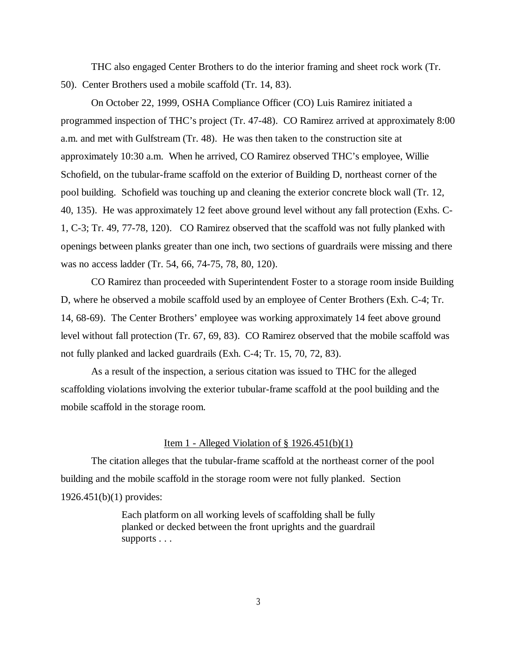THC also engaged Center Brothers to do the interior framing and sheet rock work (Tr. 50). Center Brothers used a mobile scaffold (Tr. 14, 83).

On October 22, 1999, OSHA Compliance Officer (CO) Luis Ramirez initiated a programmed inspection of THC's project (Tr. 47-48). CO Ramirez arrived at approximately 8:00 a.m. and met with Gulfstream (Tr. 48). He was then taken to the construction site at approximately 10:30 a.m. When he arrived, CO Ramirez observed THC's employee, Willie Schofield, on the tubular-frame scaffold on the exterior of Building D, northeast corner of the pool building. Schofield was touching up and cleaning the exterior concrete block wall (Tr. 12, 40, 135). He was approximately 12 feet above ground level without any fall protection (Exhs. C-1, C-3; Tr. 49, 77-78, 120). CO Ramirez observed that the scaffold was not fully planked with openings between planks greater than one inch, two sections of guardrails were missing and there was no access ladder (Tr. 54, 66, 74-75, 78, 80, 120).

CO Ramirez than proceeded with Superintendent Foster to a storage room inside Building D, where he observed a mobile scaffold used by an employee of Center Brothers (Exh. C-4; Tr. 14, 68-69). The Center Brothers' employee was working approximately 14 feet above ground level without fall protection (Tr. 67, 69, 83). CO Ramirez observed that the mobile scaffold was not fully planked and lacked guardrails (Exh. C-4; Tr. 15, 70, 72, 83).

As a result of the inspection, a serious citation was issued to THC for the alleged scaffolding violations involving the exterior tubular-frame scaffold at the pool building and the mobile scaffold in the storage room.

#### Item 1 - Alleged Violation of  $\S 1926.451(b)(1)$

The citation alleges that the tubular-frame scaffold at the northeast corner of the pool building and the mobile scaffold in the storage room were not fully planked. Section 1926.451(b)(1) provides:

> Each platform on all working levels of scaffolding shall be fully planked or decked between the front uprights and the guardrail supports . . .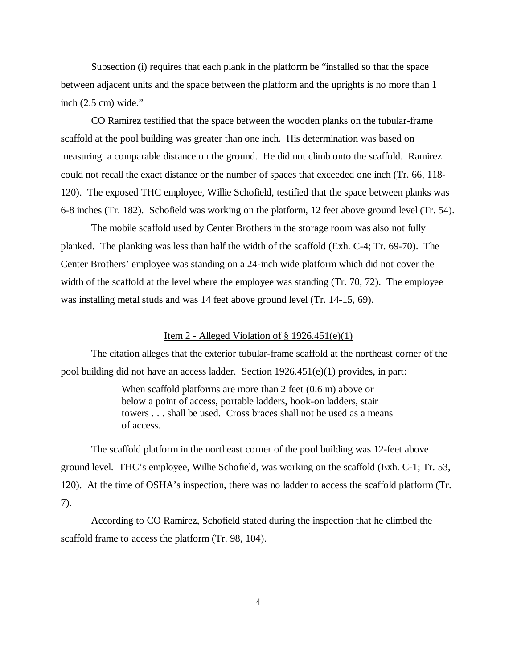Subsection (i) requires that each plank in the platform be "installed so that the space between adjacent units and the space between the platform and the uprights is no more than 1 inch (2.5 cm) wide."

CO Ramirez testified that the space between the wooden planks on the tubular-frame scaffold at the pool building was greater than one inch. His determination was based on measuring a comparable distance on the ground. He did not climb onto the scaffold. Ramirez could not recall the exact distance or the number of spaces that exceeded one inch (Tr. 66, 118- 120). The exposed THC employee, Willie Schofield, testified that the space between planks was 6-8 inches (Tr. 182). Schofield was working on the platform, 12 feet above ground level (Tr. 54).

The mobile scaffold used by Center Brothers in the storage room was also not fully planked. The planking was less than half the width of the scaffold (Exh. C-4; Tr. 69-70). The Center Brothers' employee was standing on a 24-inch wide platform which did not cover the width of the scaffold at the level where the employee was standing (Tr. 70, 72). The employee was installing metal studs and was 14 feet above ground level (Tr. 14-15, 69).

### Item 2 - Alleged Violation of  $\S$  1926.451(e)(1)

The citation alleges that the exterior tubular-frame scaffold at the northeast corner of the pool building did not have an access ladder. Section 1926.451(e)(1) provides, in part:

> When scaffold platforms are more than 2 feet (0.6 m) above or below a point of access, portable ladders, hook-on ladders, stair towers . . . shall be used. Cross braces shall not be used as a means of access.

The scaffold platform in the northeast corner of the pool building was 12-feet above ground level. THC's employee, Willie Schofield, was working on the scaffold (Exh. C-1; Tr. 53, 120). At the time of OSHA's inspection, there was no ladder to access the scaffold platform (Tr. 7).

According to CO Ramirez, Schofield stated during the inspection that he climbed the scaffold frame to access the platform (Tr. 98, 104).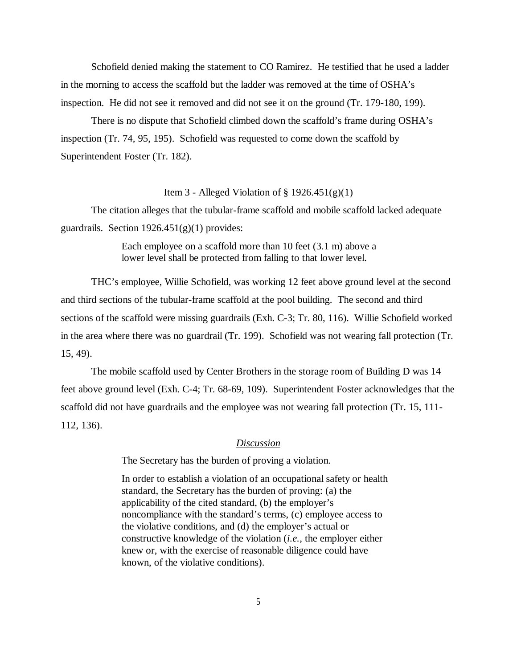Schofield denied making the statement to CO Ramirez. He testified that he used a ladder in the morning to access the scaffold but the ladder was removed at the time of OSHA's inspection. He did not see it removed and did not see it on the ground (Tr. 179-180, 199).

There is no dispute that Schofield climbed down the scaffold's frame during OSHA's inspection (Tr. 74, 95, 195). Schofield was requested to come down the scaffold by Superintendent Foster (Tr. 182).

### Item 3 - Alleged Violation of  $\S 1926.451(g)(1)$

The citation alleges that the tubular-frame scaffold and mobile scaffold lacked adequate guardrails. Section  $1926.451(g)(1)$  provides:

> Each employee on a scaffold more than 10 feet (3.1 m) above a lower level shall be protected from falling to that lower level.

THC's employee, Willie Schofield, was working 12 feet above ground level at the second and third sections of the tubular-frame scaffold at the pool building. The second and third sections of the scaffold were missing guardrails (Exh. C-3; Tr. 80, 116). Willie Schofield worked in the area where there was no guardrail (Tr. 199). Schofield was not wearing fall protection (Tr. 15, 49).

The mobile scaffold used by Center Brothers in the storage room of Building D was 14 feet above ground level (Exh. C-4; Tr. 68-69, 109). Superintendent Foster acknowledges that the scaffold did not have guardrails and the employee was not wearing fall protection (Tr. 15, 111- 112, 136).

#### *Discussion*

The Secretary has the burden of proving a violation.

In order to establish a violation of an occupational safety or health standard, the Secretary has the burden of proving: (a) the applicability of the cited standard, (b) the employer's noncompliance with the standard's terms, (c) employee access to the violative conditions, and (d) the employer's actual or constructive knowledge of the violation (*i.e.,* the employer either knew or, with the exercise of reasonable diligence could have known, of the violative conditions).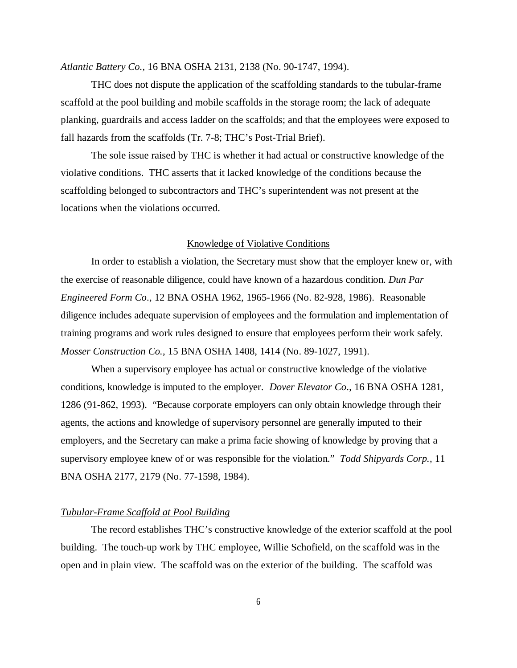*Atlantic Battery Co.,* 16 BNA OSHA 2131, 2138 (No. 90-1747, 1994).

THC does not dispute the application of the scaffolding standards to the tubular-frame scaffold at the pool building and mobile scaffolds in the storage room; the lack of adequate planking, guardrails and access ladder on the scaffolds; and that the employees were exposed to fall hazards from the scaffolds (Tr. 7-8; THC's Post-Trial Brief).

The sole issue raised by THC is whether it had actual or constructive knowledge of the violative conditions. THC asserts that it lacked knowledge of the conditions because the scaffolding belonged to subcontractors and THC's superintendent was not present at the locations when the violations occurred.

### Knowledge of Violative Conditions

In order to establish a violation, the Secretary must show that the employer knew or, with the exercise of reasonable diligence, could have known of a hazardous condition. *Dun Par Engineered Form Co*., 12 BNA OSHA 1962, 1965-1966 (No. 82-928, 1986). Reasonable diligence includes adequate supervision of employees and the formulation and implementation of training programs and work rules designed to ensure that employees perform their work safely. *Mosser Construction Co.*, 15 BNA OSHA 1408, 1414 (No. 89-1027, 1991).

When a supervisory employee has actual or constructive knowledge of the violative conditions, knowledge is imputed to the employer. *Dover Elevator Co*., 16 BNA OSHA 1281, 1286 (91-862, 1993). "Because corporate employers can only obtain knowledge through their agents, the actions and knowledge of supervisory personnel are generally imputed to their employers, and the Secretary can make a prima facie showing of knowledge by proving that a supervisory employee knew of or was responsible for the violation." *Todd Shipyards Corp.,* 11 BNA OSHA 2177, 2179 (No. 77-1598, 1984).

## *Tubular-Frame Scaffold at Pool Building*

The record establishes THC's constructive knowledge of the exterior scaffold at the pool building. The touch-up work by THC employee, Willie Schofield, on the scaffold was in the open and in plain view. The scaffold was on the exterior of the building. The scaffold was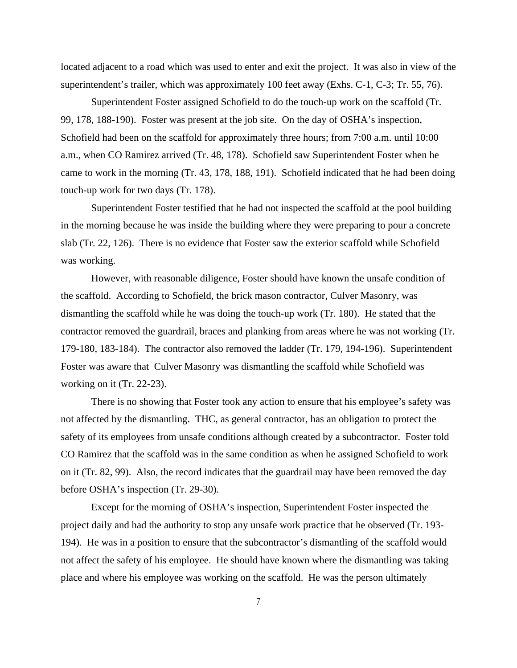located adjacent to a road which was used to enter and exit the project. It was also in view of the superintendent's trailer, which was approximately 100 feet away (Exhs. C-1, C-3; Tr. 55, 76).

Superintendent Foster assigned Schofield to do the touch-up work on the scaffold (Tr. 99, 178, 188-190). Foster was present at the job site. On the day of OSHA's inspection, Schofield had been on the scaffold for approximately three hours; from 7:00 a.m. until 10:00 a.m., when CO Ramirez arrived (Tr. 48, 178). Schofield saw Superintendent Foster when he came to work in the morning (Tr. 43, 178, 188, 191). Schofield indicated that he had been doing touch-up work for two days (Tr. 178).

Superintendent Foster testified that he had not inspected the scaffold at the pool building in the morning because he was inside the building where they were preparing to pour a concrete slab (Tr. 22, 126). There is no evidence that Foster saw the exterior scaffold while Schofield was working.

However, with reasonable diligence, Foster should have known the unsafe condition of the scaffold. According to Schofield, the brick mason contractor, Culver Masonry, was dismantling the scaffold while he was doing the touch-up work (Tr. 180). He stated that the contractor removed the guardrail, braces and planking from areas where he was not working (Tr. 179-180, 183-184). The contractor also removed the ladder (Tr. 179, 194-196). Superintendent Foster was aware that Culver Masonry was dismantling the scaffold while Schofield was working on it (Tr. 22-23).

There is no showing that Foster took any action to ensure that his employee's safety was not affected by the dismantling. THC, as general contractor, has an obligation to protect the safety of its employees from unsafe conditions although created by a subcontractor. Foster told CO Ramirez that the scaffold was in the same condition as when he assigned Schofield to work on it (Tr. 82, 99). Also, the record indicates that the guardrail may have been removed the day before OSHA's inspection (Tr. 29-30).

Except for the morning of OSHA's inspection, Superintendent Foster inspected the project daily and had the authority to stop any unsafe work practice that he observed (Tr. 193- 194). He was in a position to ensure that the subcontractor's dismantling of the scaffold would not affect the safety of his employee. He should have known where the dismantling was taking place and where his employee was working on the scaffold. He was the person ultimately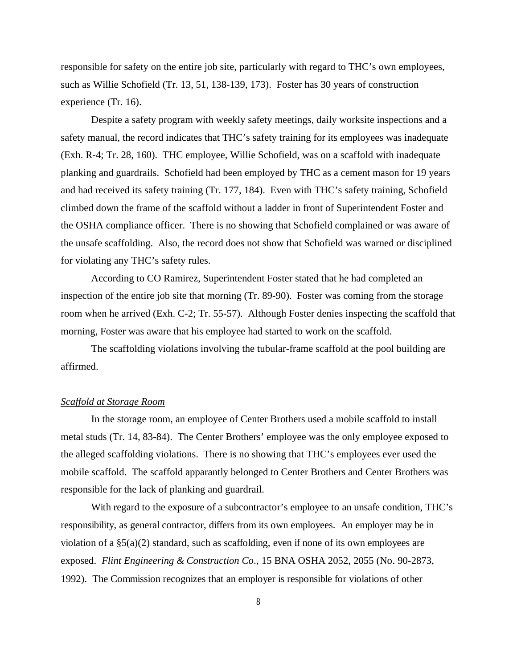responsible for safety on the entire job site, particularly with regard to THC's own employees, such as Willie Schofield (Tr. 13, 51, 138-139, 173). Foster has 30 years of construction experience (Tr. 16).

Despite a safety program with weekly safety meetings, daily worksite inspections and a safety manual, the record indicates that THC's safety training for its employees was inadequate (Exh. R-4; Tr. 28, 160). THC employee, Willie Schofield, was on a scaffold with inadequate planking and guardrails. Schofield had been employed by THC as a cement mason for 19 years and had received its safety training (Tr. 177, 184). Even with THC's safety training, Schofield climbed down the frame of the scaffold without a ladder in front of Superintendent Foster and the OSHA compliance officer. There is no showing that Schofield complained or was aware of the unsafe scaffolding. Also, the record does not show that Schofield was warned or disciplined for violating any THC's safety rules.

According to CO Ramirez, Superintendent Foster stated that he had completed an inspection of the entire job site that morning (Tr. 89-90). Foster was coming from the storage room when he arrived (Exh. C-2; Tr. 55-57). Although Foster denies inspecting the scaffold that morning, Foster was aware that his employee had started to work on the scaffold.

The scaffolding violations involving the tubular-frame scaffold at the pool building are affirmed.

### *Scaffold at Storage Room*

In the storage room, an employee of Center Brothers used a mobile scaffold to install metal studs (Tr. 14, 83-84). The Center Brothers' employee was the only employee exposed to the alleged scaffolding violations. There is no showing that THC's employees ever used the mobile scaffold. The scaffold apparantly belonged to Center Brothers and Center Brothers was responsible for the lack of planking and guardrail.

With regard to the exposure of a subcontractor's employee to an unsafe condition, THC's responsibility, as general contractor, differs from its own employees. An employer may be in violation of a  $\S(2)$  standard, such as scaffolding, even if none of its own employees are exposed. *Flint Engineering & Construction Co*., 15 BNA OSHA 2052, 2055 (No. 90-2873, 1992). The Commission recognizes that an employer is responsible for violations of other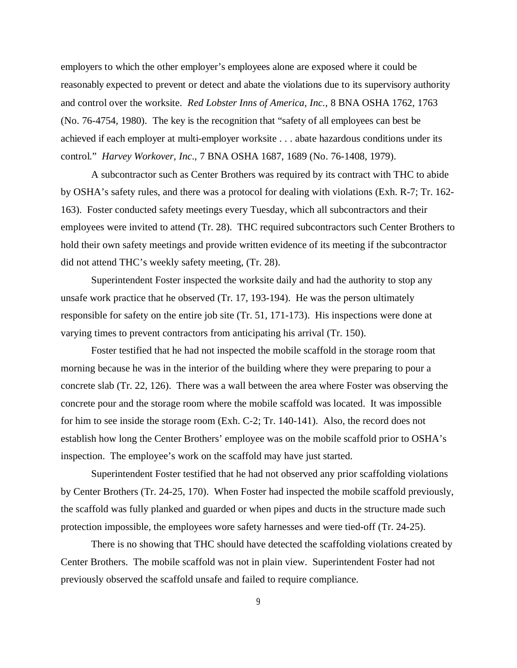employers to which the other employer's employees alone are exposed where it could be reasonably expected to prevent or detect and abate the violations due to its supervisory authority and control over the worksite. *Red Lobster Inns of America, Inc.,* 8 BNA OSHA 1762, 1763 (No. 76-4754, 1980). The key is the recognition that "safety of all employees can best be achieved if each employer at multi-employer worksite . . . abate hazardous conditions under its control." *Harvey Workover, Inc*., 7 BNA OSHA 1687, 1689 (No. 76-1408, 1979).

A subcontractor such as Center Brothers was required by its contract with THC to abide by OSHA's safety rules, and there was a protocol for dealing with violations (Exh. R-7; Tr. 162- 163). Foster conducted safety meetings every Tuesday, which all subcontractors and their employees were invited to attend (Tr. 28). THC required subcontractors such Center Brothers to hold their own safety meetings and provide written evidence of its meeting if the subcontractor did not attend THC's weekly safety meeting, (Tr. 28).

Superintendent Foster inspected the worksite daily and had the authority to stop any unsafe work practice that he observed (Tr. 17, 193-194). He was the person ultimately responsible for safety on the entire job site (Tr. 51, 171-173). His inspections were done at varying times to prevent contractors from anticipating his arrival (Tr. 150).

Foster testified that he had not inspected the mobile scaffold in the storage room that morning because he was in the interior of the building where they were preparing to pour a concrete slab (Tr. 22, 126). There was a wall between the area where Foster was observing the concrete pour and the storage room where the mobile scaffold was located. It was impossible for him to see inside the storage room (Exh. C-2; Tr. 140-141). Also, the record does not establish how long the Center Brothers' employee was on the mobile scaffold prior to OSHA's inspection. The employee's work on the scaffold may have just started.

Superintendent Foster testified that he had not observed any prior scaffolding violations by Center Brothers (Tr. 24-25, 170). When Foster had inspected the mobile scaffold previously, the scaffold was fully planked and guarded or when pipes and ducts in the structure made such protection impossible, the employees wore safety harnesses and were tied-off (Tr. 24-25).

There is no showing that THC should have detected the scaffolding violations created by Center Brothers. The mobile scaffold was not in plain view. Superintendent Foster had not previously observed the scaffold unsafe and failed to require compliance.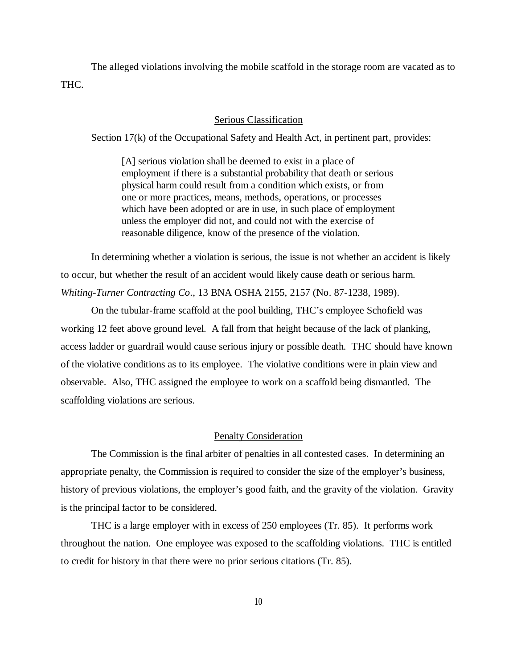The alleged violations involving the mobile scaffold in the storage room are vacated as to THC.

## Serious Classification

Section 17(k) of the Occupational Safety and Health Act, in pertinent part, provides:

[A] serious violation shall be deemed to exist in a place of employment if there is a substantial probability that death or serious physical harm could result from a condition which exists, or from one or more practices, means, methods, operations, or processes which have been adopted or are in use, in such place of employment unless the employer did not, and could not with the exercise of reasonable diligence, know of the presence of the violation.

In determining whether a violation is serious, the issue is not whether an accident is likely to occur, but whether the result of an accident would likely cause death or serious harm. *Whiting-Turner Contracting Co*., 13 BNA OSHA 2155, 2157 (No. 87-1238, 1989).

On the tubular-frame scaffold at the pool building, THC's employee Schofield was working 12 feet above ground level. A fall from that height because of the lack of planking, access ladder or guardrail would cause serious injury or possible death. THC should have known of the violative conditions as to its employee. The violative conditions were in plain view and observable. Also, THC assigned the employee to work on a scaffold being dismantled. The scaffolding violations are serious.

### Penalty Consideration

The Commission is the final arbiter of penalties in all contested cases. In determining an appropriate penalty, the Commission is required to consider the size of the employer's business, history of previous violations, the employer's good faith, and the gravity of the violation. Gravity is the principal factor to be considered.

THC is a large employer with in excess of 250 employees (Tr. 85). It performs work throughout the nation. One employee was exposed to the scaffolding violations. THC is entitled to credit for history in that there were no prior serious citations (Tr. 85).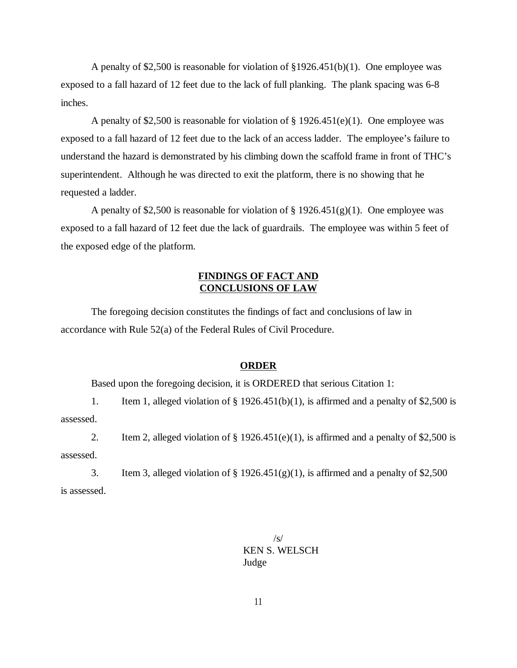A penalty of \$2,500 is reasonable for violation of §1926.451(b)(1). One employee was exposed to a fall hazard of 12 feet due to the lack of full planking. The plank spacing was 6-8 inches.

A penalty of \$2,500 is reasonable for violation of § 1926.451(e)(1). One employee was exposed to a fall hazard of 12 feet due to the lack of an access ladder. The employee's failure to understand the hazard is demonstrated by his climbing down the scaffold frame in front of THC's superintendent. Although he was directed to exit the platform, there is no showing that he requested a ladder.

A penalty of \$2,500 is reasonable for violation of  $\S 1926.451(g)(1)$ . One employee was exposed to a fall hazard of 12 feet due the lack of guardrails. The employee was within 5 feet of the exposed edge of the platform.

## **FINDINGS OF FACT AND CONCLUSIONS OF LAW**

The foregoing decision constitutes the findings of fact and conclusions of law in accordance with Rule 52(a) of the Federal Rules of Civil Procedure.

#### **ORDER**

Based upon the foregoing decision, it is ORDERED that serious Citation 1:

1. Item 1, alleged violation of  $\S$  1926.451(b)(1), is affirmed and a penalty of \$2,500 is assessed.

2. Item 2, alleged violation of  $\S 1926.451(e)(1)$ , is affirmed and a penalty of \$2,500 is assessed.

3. Item 3, alleged violation of  $\S 1926.451(g)(1)$ , is affirmed and a penalty of \$2,500 is assessed.

> /s/ KEN S. WELSCH Judge